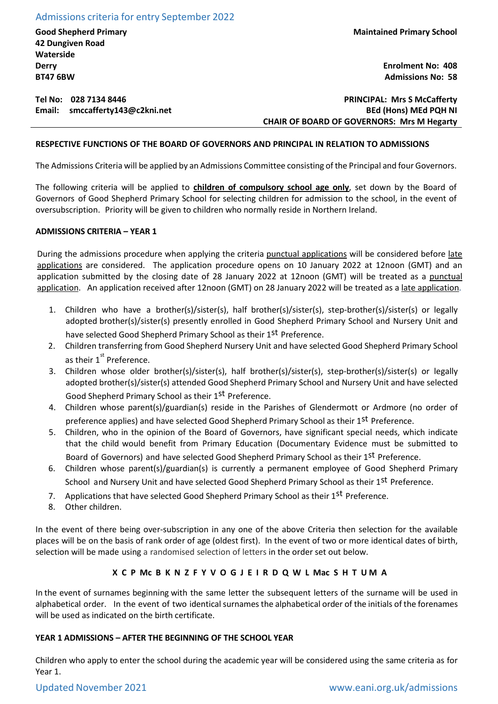Admissions criteria for entry September 2022

**Good Shepherd Primary 42 Dungiven Road Waterside Derry BT47 6BW**

**Maintained Primary School**

**Enrolment No: 408 Admissions No: 58**

# **Tel No: 028 7134 8446 Email: smccafferty143@c2kni.net**

**PRINCIPAL: Mrs S McCafferty BEd (Hons) MEd PQH NI CHAIR OF BOARD OF GOVERNORS: Mrs M Hegarty**

## **RESPECTIVE FUNCTIONS OF THE BOARD OF GOVERNORS AND PRINCIPAL IN RELATION TO ADMISSIONS**

The Admissions Criteria will be applied by an Admissions Committee consisting of the Principal and four Governors.

The following criteria will be applied to **children of compulsory school age only**, set down by the Board of Governors of Good Shepherd Primary School for selecting children for admission to the school, in the event of oversubscription. Priority will be given to children who normally reside in Northern Ireland.

## **ADMISSIONS CRITERIA – YEAR 1**

During the admissions procedure when applying the criteria punctual applications will be considered before late applications are considered. The application procedure opens on 10 January 2022 at 12noon (GMT) and an application submitted by the closing date of 28 January 2022 at 12noon (GMT) will be treated as a punctual application. An application received after 12noon (GMT) on 28 January 2022 will be treated as a late application.

- 1. Children who have a brother(s)/sister(s), half brother(s)/sister(s), step-brother(s)/sister(s) or legally adopted brother(s)/sister(s) presently enrolled in Good Shepherd Primary School and Nursery Unit and have selected Good Shepherd Primary School as their 1<sup>st</sup> Preference.
- 2. Children transferring from Good Shepherd Nursery Unit and have selected Good Shepherd Primary School as their  $1^{\text{st}}$  Preference.
- 3. Children whose older brother(s)/sister(s), half brother(s)/sister(s), step-brother(s)/sister(s) or legally adopted brother(s)/sister(s) attended Good Shepherd Primary School and Nursery Unit and have selected Good Shepherd Primary School as their 1<sup>st</sup> Preference.
- 4. Children whose parent(s)/guardian(s) reside in the Parishes of Glendermott or Ardmore (no order of preference applies) and have selected Good Shepherd Primary School as their 1<sup>st</sup> Preference.
- 5. Children, who in the opinion of the Board of Governors, have significant special needs, which indicate that the child would benefit from Primary Education (Documentary Evidence must be submitted to Board of Governors) and have selected Good Shepherd Primary School as their 1st Preference.
- 6. Children whose parent(s)/guardian(s) is currently a permanent employee of Good Shepherd Primary School and Nursery Unit and have selected Good Shepherd Primary School as their 1st Preference.
- 7. Applications that have selected Good Shepherd Primary School as their 1<sup>st</sup> Preference.
- 8. Other children.

In the event of there being over-subscription in any one of the above Criteria then selection for the available places will be on the basis of rank order of age (oldest first). In the event of two or more identical dates of birth, selection will be made using a randomised selection of letters in the order set out below.

# **X C P Mc B K N Z F Y V O G J E I R D Q W L Mac S H T U M A**

In the event of surnames beginning with the same letter the subsequent letters of the surname will be used in alphabetical order. In the event of two identical surnames the alphabetical order of the initials of the forenames will be used as indicated on the birth certificate.

## **YEAR 1 ADMISSIONS – AFTER THE BEGINNING OF THE SCHOOL YEAR**

Children who apply to enter the school during the academic year will be considered using the same criteria as for Year 1.